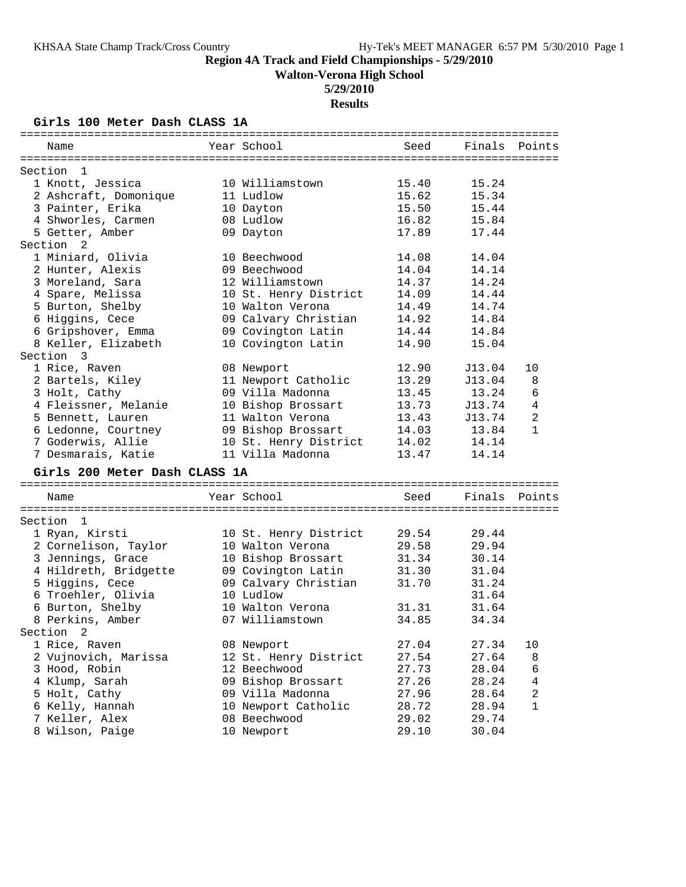**Walton-Verona High School**

## **5/29/2010**

**Results**

## **Girls 100 Meter Dash CLASS 1A**

| Name                          | Year School           | Seed  | Finals | Points         |
|-------------------------------|-----------------------|-------|--------|----------------|
| Section<br>- 1                |                       |       |        |                |
| 1 Knott, Jessica              | 10 Williamstown       | 15.40 | 15.24  |                |
| 2 Ashcraft, Domonique         | 11 Ludlow             | 15.62 | 15.34  |                |
| 3 Painter, Erika              | 10 Dayton             | 15.50 | 15.44  |                |
| 4 Shworles, Carmen            | 08 Ludlow             | 16.82 | 15.84  |                |
| 5 Getter, Amber               | 09 Dayton             | 17.89 | 17.44  |                |
| Section<br>$\overline{2}$     |                       |       |        |                |
| 1 Miniard, Olivia             | 10 Beechwood          | 14.08 | 14.04  |                |
| 2 Hunter, Alexis              | 09 Beechwood          | 14.04 | 14.14  |                |
| 3 Moreland, Sara              | 12 Williamstown       | 14.37 | 14.24  |                |
| 4 Spare, Melissa              | 10 St. Henry District | 14.09 | 14.44  |                |
| 5 Burton, Shelby              | 10 Walton Verona      | 14.49 | 14.74  |                |
| 6 Higgins, Cece               | 09 Calvary Christian  | 14.92 | 14.84  |                |
| 6 Gripshover, Emma            | 09 Covington Latin    | 14.44 | 14.84  |                |
| 8 Keller, Elizabeth           | 10 Covington Latin    | 14.90 | 15.04  |                |
| Section 3                     |                       |       |        |                |
| 1 Rice, Raven                 | 08 Newport            | 12.90 | J13.04 | 10             |
| 2 Bartels, Kiley              | 11 Newport Catholic   | 13.29 | J13.04 | 8              |
| 3 Holt, Cathy                 | 09 Villa Madonna      | 13.45 | 13.24  | 6              |
| 4 Fleissner, Melanie          | 10 Bishop Brossart    | 13.73 | J13.74 | $\overline{4}$ |
| 5 Bennett, Lauren             | 11 Walton Verona      | 13.43 | J13.74 | $\mathbf{2}$   |
| 6 Ledonne, Courtney           | 09 Bishop Brossart    | 14.03 | 13.84  | 1              |
| 7 Goderwis, Allie             | 10 St. Henry District | 14.02 | 14.14  |                |
| 7 Desmarais, Katie            | 11 Villa Madonna      | 13.47 | 14.14  |                |
| Girls 200 Meter Dash CLASS 1A |                       |       |        |                |
| Name                          | Year School           | Seed  | Finals | Points         |
|                               |                       |       |        |                |
| Section<br>-1                 |                       |       |        |                |
| 1 Ryan, Kirsti                | 10 St. Henry District | 29.54 | 29.44  |                |
| 2 Cornelison, Taylor          | 10 Walton Verona      | 29.58 | 29.94  |                |
| 3 Jennings, Grace             | 10 Bishop Brossart    | 31.34 | 30.14  |                |
| 4 Hildreth, Bridgette         | 09 Covington Latin    | 31.30 | 31.04  |                |
| 5 Higgins, Cece               | 09 Calvary Christian  | 31.70 | 31.24  |                |
| 6 Troehler, Olivia            | 10 Ludlow             |       | 31.64  |                |
| 6 Burton, Shelby              | 10 Walton Verona      | 31.31 | 31.64  |                |
| 8 Perkins, Amber              | 07 Williamstown       | 34.85 | 34.34  |                |
| Section 2                     |                       |       |        |                |
| 1 Rice, Raven                 | 08 Newport            | 27.04 | 27.34  | 10             |
| 2 Vujnovich, Marissa          | 12 St. Henry District | 27.54 | 27.64  | 8              |
| 3 Hood, Robin                 | 12 Beechwood          | 27.73 | 28.04  | 6              |
| 4 Klump, Sarah                | 09 Bishop Brossart    | 27.26 | 28.24  | 4              |
| 5 Holt, Cathy                 | 09 Villa Madonna      | 27.96 | 28.64  | 2              |
| 6 Kelly, Hannah               | 10 Newport Catholic   | 28.72 | 28.94  | 1              |
| 7 Keller, Alex                | 08 Beechwood          | 29.02 | 29.74  |                |
| 8 Wilson, Paige               | 10 Newport            | 29.10 | 30.04  |                |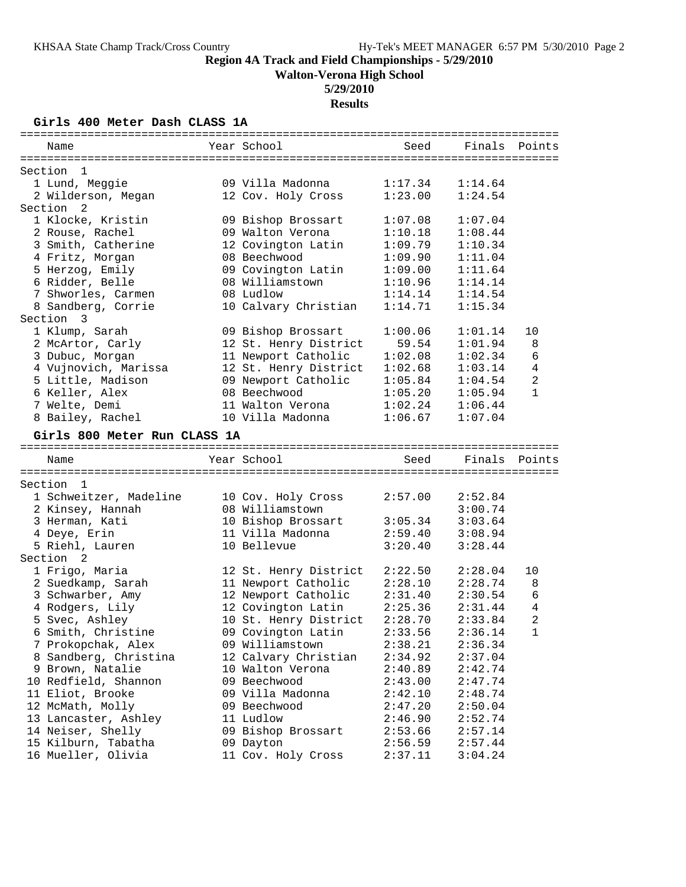**Walton-Verona High School**

## **5/29/2010**

**Results**

## **Girls 400 Meter Dash CLASS 1A**

| Name                                      | Year School                     | Seed    | Finals  | Points         |
|-------------------------------------------|---------------------------------|---------|---------|----------------|
|                                           |                                 |         |         |                |
| Section 1                                 |                                 |         |         |                |
| 1 Lund, Meggie                            | 09 Villa Madonna                | 1:17.34 | 1:14.64 |                |
| 2 Wilderson, Megan                        | 12 Cov. Holy Cross              | 1:23.00 | 1:24.54 |                |
| Section <sub>2</sub>                      |                                 |         |         |                |
| 1 Klocke, Kristin                         | 09 Bishop Brossart              | 1:07.08 | 1:07.04 |                |
| 2 Rouse, Rachel                           | 09 Walton Verona                | 1:10.18 | 1:08.44 |                |
| 3 Smith, Catherine                        | 12 Covington Latin              | 1:09.79 | 1:10.34 |                |
| 4 Fritz, Morgan                           | 08 Beechwood                    | 1:09.90 | 1:11.04 |                |
| 5 Herzog, Emily                           | 09 Covington Latin              | 1:09.00 | 1:11.64 |                |
| 6 Ridder, Belle                           | 08 Williamstown                 | 1:10.96 | 1:14.14 |                |
| 7 Shworles, Carmen                        | 08 Ludlow                       | 1:14.14 | 1:14.54 |                |
| 8 Sandberg, Corrie                        | 10 Calvary Christian            | 1:14.71 | 1:15.34 |                |
| Section 3                                 |                                 |         |         |                |
| 1 Klump, Sarah                            | 09 Bishop Brossart              | 1:00.06 | 1:01.14 | 10             |
| 2 McArtor, Carly                          | 12 St. Henry District           | 59.54   | 1:01.94 | 8              |
| 3 Dubuc, Morgan                           | 11 Newport Catholic             | 1:02.08 | 1:02.34 | 6              |
| 4 Vujnovich, Marissa                      | 12 St. Henry District           | 1:02.68 | 1:03.14 | 4              |
| 5 Little, Madison                         | 09 Newport Catholic             | 1:05.84 | 1:04.54 | 2              |
| 6 Keller, Alex                            | 08 Beechwood                    | 1:05.20 | 1:05.94 | $\mathbf{1}$   |
| 7 Welte, Demi                             | 11 Walton Verona                | 1:02.24 | 1:06.44 |                |
| 8 Bailey, Rachel                          | 10 Villa Madonna                | 1:06.67 | 1:07.04 |                |
|                                           |                                 |         |         |                |
| Girls 800 Meter Run CLASS 1A              |                                 |         |         |                |
|                                           |                                 |         |         |                |
|                                           |                                 |         |         |                |
| Name                                      | Year School                     | Seed    | Finals  | Points         |
|                                           |                                 |         |         |                |
| Section 1                                 |                                 |         |         |                |
| 1 Schweitzer, Madeline                    | 10 Cov. Holy Cross              | 2:57.00 | 2:52.84 |                |
| 2 Kinsey, Hannah                          | 08 Williamstown                 |         | 3:00.74 |                |
| 3 Herman, Kati                            | 10 Bishop Brossart              | 3:05.34 | 3:03.64 |                |
| 4 Deye, Erin                              | 11 Villa Madonna                | 2:59.40 | 3:08.94 |                |
| 5 Riehl, Lauren                           | 10 Bellevue                     | 3:20.40 | 3:28.44 |                |
| Section <sub>2</sub>                      |                                 |         |         |                |
| 1 Frigo, Maria                            | 12 St. Henry District           | 2:22.50 | 2:28.04 | 10             |
| 2 Suedkamp, Sarah                         | 11 Newport Catholic             | 2:28.10 | 2:28.74 | 8              |
| 3 Schwarber, Amy                          | 12 Newport Catholic             | 2:31.40 | 2:30.54 | 6              |
| 4 Rodgers, Lily                           | 12 Covington Latin              | 2:25.36 | 2:31.44 | $\overline{4}$ |
| 5 Svec, Ashley                            | 10 St. Henry District           | 2:28.70 | 2:33.84 | 2              |
| 6 Smith, Christine                        | 09 Covington Latin              | 2:33.56 | 2:36.14 | $\mathbf{1}$   |
| 7 Prokopchak, Alex                        | 09 Williamstown                 | 2:38.21 | 2:36.34 |                |
| 8 Sandberg, Christina                     | 12 Calvary Christian            | 2:34.92 | 2:37.04 |                |
| 9 Brown, Natalie                          | 10 Walton Verona                | 2:40.89 | 2:42.74 |                |
| 10 Redfield, Shannon                      | 09 Beechwood                    | 2:43.00 | 2:47.74 |                |
| 11 Eliot, Brooke                          | 09 Villa Madonna                | 2:42.10 | 2:48.74 |                |
| 12 McMath, Molly                          | 09 Beechwood                    | 2:47.20 | 2:50.04 |                |
| 13 Lancaster, Ashley                      | 11 Ludlow                       | 2:46.90 | 2:52.74 |                |
| 14 Neiser, Shelly                         | 09 Bishop Brossart              | 2:53.66 | 2:57.14 |                |
| 15 Kilburn, Tabatha<br>16 Mueller, Olivia | 09 Dayton<br>11 Cov. Holy Cross | 2:56.59 | 2:57.44 |                |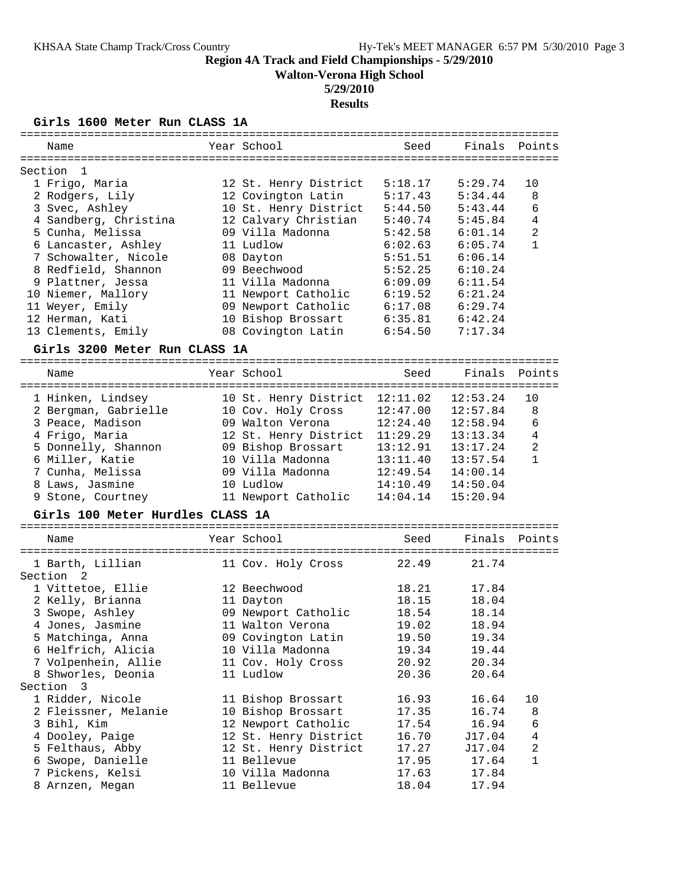**Walton-Verona High School**

## **5/29/2010**

## **Results**

## **Girls 1600 Meter Run CLASS 1A**

| ===========                      |             |                            | --------------------- |          |                |
|----------------------------------|-------------|----------------------------|-----------------------|----------|----------------|
| Name                             |             | Year School                | Seed                  | Finals   | Points         |
|                                  |             |                            |                       |          |                |
| Section<br>$\mathbf{1}$          |             |                            |                       |          |                |
| 1 Frigo, Maria                   |             | 12 St. Henry District      | 5:18.17               | 5:29.74  | 10             |
| 2 Rodgers, Lily                  |             | 12 Covington Latin         | 5:17.43               | 5:34.44  | 8              |
| 3 Svec, Ashley                   |             | 10 St. Henry District      | 5:44.50               | 5:43.44  | 6              |
| 4 Sandberg, Christina            |             | 12 Calvary Christian       | 5:40.74               | 5:45.84  | 4              |
| 5 Cunha, Melissa                 |             | 09 Villa Madonna           | 5:42.58               | 6:01.14  | $\overline{2}$ |
| 6 Lancaster, Ashley              |             | 11 Ludlow                  | 6:02.63               | 6:05.74  | 1              |
| 7 Schowalter, Nicole             |             | 08 Dayton                  | 5:51.51               | 6:06.14  |                |
| 8 Redfield, Shannon              |             | 09 Beechwood               | 5:52.25               | 6:10.24  |                |
| 9 Plattner, Jessa                |             | 11 Villa Madonna           | 6:09.09               | 6:11.54  |                |
| 10 Niemer, Mallory               |             | 11 Newport Catholic        | 6:19.52               | 6:21.24  |                |
| 11 Weyer, Emily                  |             | 09 Newport Catholic        | 6:17.08               | 6:29.74  |                |
| 12 Herman, Kati                  |             | 10 Bishop Brossart         | 6:35.81               | 6:42.24  |                |
| 13 Clements, Emily               |             | 08 Covington Latin         | 6:54.50               | 7:17.34  |                |
|                                  |             |                            |                       |          |                |
| Girls 3200 Meter Run CLASS 1A    |             |                            |                       |          |                |
| Name                             |             | Year School                | Seed                  | Finals   | Points         |
| ----------------------           | =========== | ========================== |                       |          |                |
| 1 Hinken, Lindsey                |             | 10 St. Henry District      | 12:11.02              | 12:53.24 | 10             |
| 2 Bergman, Gabrielle             |             | 10 Cov. Holy Cross         | 12:47.00              | 12:57.84 | 8              |
| 3 Peace, Madison                 |             | 09 Walton Verona           | 12:24.40              | 12:58.94 | 6              |
| 4 Frigo, Maria                   |             | 12 St. Henry District      | 11:29.29              | 13:13.34 | 4              |
| 5 Donnelly, Shannon              |             | 09 Bishop Brossart         | 13:12.91              | 13:17.24 | 2              |
| 6 Miller, Katie                  |             | 10 Villa Madonna           | 13:11.40              | 13:57.54 | $\mathbf{1}$   |
| 7 Cunha, Melissa                 |             | 09 Villa Madonna           |                       |          |                |
|                                  |             |                            | 12:49.54              | 14:00.14 |                |
| 8 Laws, Jasmine                  |             | 10 Ludlow                  | 14:10.49              | 14:50.04 |                |
| 9 Stone, Courtney                |             | 11 Newport Catholic        | 14:04.14              | 15:20.94 |                |
| Girls 100 Meter Hurdles CLASS 1A |             |                            |                       |          |                |
| Name                             |             | Year School                | Seed                  | Finals   | Points         |
|                                  |             |                            |                       |          |                |
| 1 Barth, Lillian                 |             | 11 Cov. Holy Cross         | 22.49                 | 21.74    |                |
| Section<br>2                     |             |                            |                       |          |                |
| 1 Vittetoe, Ellie                |             | 12 Beechwood               | 18.21                 | 17.84    |                |
| 2 Kelly, Brianna                 |             | 11 Dayton                  | 18.15                 | 18.04    |                |
| 3 Swope, Ashley                  |             | 09 Newport Catholic        | 18.54                 | 18.14    |                |
| 4 Jones, Jasmine                 |             | 11 Walton Verona           | 19.02                 | 18.94    |                |
| 5 Matchinga, Anna                |             |                            |                       |          |                |
|                                  |             | 09 Covington Latin         | 19.50                 | 19.34    |                |
| 6 Helfrich, Alicia               |             | 10 Villa Madonna           | 19.34                 | 19.44    |                |
| 7 Volpenhein, Allie              |             | 11 Cov. Holy Cross         | 20.92                 | 20.34    |                |
| 8 Shworles, Deonia               |             | 11 Ludlow                  | 20.36                 | 20.64    |                |
| Section 3                        |             |                            |                       |          |                |
| 1 Ridder, Nicole                 |             | 11 Bishop Brossart         | 16.93                 | 16.64    | 10             |
| 2 Fleissner, Melanie             |             | 10 Bishop Brossart         | 17.35                 | 16.74    | 8              |
| 3 Bihl, Kim                      |             | 12 Newport Catholic        | 17.54                 | 16.94    | 6              |
| 4 Dooley, Paige                  |             | 12 St. Henry District      | 16.70                 | J17.04   | 4              |
| 5 Felthaus, Abby                 |             | 12 St. Henry District      | 17.27                 | J17.04   | $\overline{c}$ |
| 6 Swope, Danielle                |             | 11 Bellevue                | 17.95                 | 17.64    | $\mathbf{1}$   |
| 7 Pickens, Kelsi                 |             | 10 Villa Madonna           | 17.63                 | 17.84    |                |
| 8 Arnzen, Megan                  |             | 11 Bellevue                | 18.04                 | 17.94    |                |
|                                  |             |                            |                       |          |                |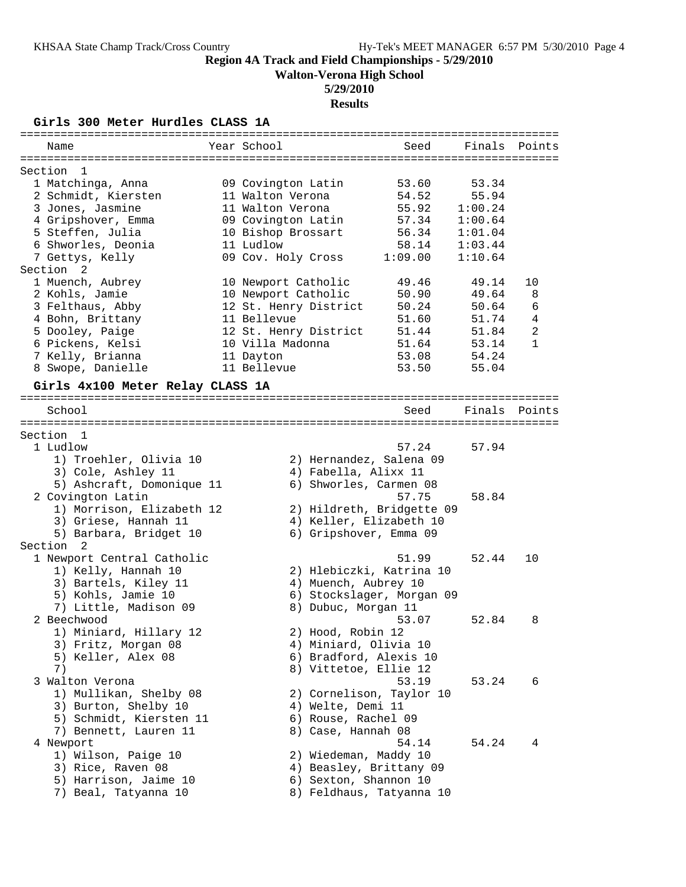**Walton-Verona High School**

## **5/29/2010**

**Results**

**Girls 300 Meter Hurdles CLASS 1A**

| Name                             | Year School           |                       | Seed                                                 | Finals Points |                |
|----------------------------------|-----------------------|-----------------------|------------------------------------------------------|---------------|----------------|
|                                  |                       |                       |                                                      |               |                |
| Section<br>- 1                   |                       |                       |                                                      |               |                |
| 1 Matchinga, Anna                | 09 Covington Latin    |                       | 53.60                                                | 53.34         |                |
| 2 Schmidt, Kiersten              | 11 Walton Verona      |                       | 54.52                                                | 55.94         |                |
| 3 Jones, Jasmine                 | 11 Walton Verona      |                       | 55.92                                                | 1:00.24       |                |
| 4 Gripshover, Emma               | 09 Covington Latin    |                       | 57.34                                                | 1:00.64       |                |
| 5 Steffen, Julia                 | 10 Bishop Brossart    |                       | 56.34                                                | 1:01.04       |                |
| 6 Shworles, Deonia               | 11 Ludlow             |                       | 58.14                                                | 1:03.44       |                |
| 7 Gettys, Kelly                  | 09 Cov. Holy Cross    |                       | 1:09.00                                              | 1:10.64       |                |
| Section <sub>2</sub>             |                       |                       |                                                      |               |                |
| 1 Muench, Aubrey                 | 10 Newport Catholic   |                       | 49.46                                                | 49.14         | 10             |
| 2 Kohls, Jamie                   | 10 Newport Catholic   |                       | 50.90                                                | 49.64         | 8              |
| 3 Felthaus, Abby                 | 12 St. Henry District |                       | 50.24                                                | 50.64         | 6              |
| 4 Bohn, Brittany                 | 11 Bellevue           |                       | 51.60                                                | 51.74         | $\overline{4}$ |
| 5 Dooley, Paige                  | 12 St. Henry District |                       | 51.44                                                | 51.84         | $\mathbf{2}$   |
| 6 Pickens, Kelsi                 | 10 Villa Madonna      |                       | 51.64                                                | 53.14         | $\mathbf{1}$   |
| 7 Kelly, Brianna                 | 11 Dayton             |                       | 53.08                                                | 54.24         |                |
| 8 Swope, Danielle                | 11 Bellevue           |                       | 53.50                                                | 55.04         |                |
| Girls 4x100 Meter Relay CLASS 1A |                       |                       |                                                      |               |                |
|                                  |                       |                       |                                                      |               |                |
| School                           |                       |                       | Seed                                                 | Finals        | Points         |
|                                  |                       |                       |                                                      |               |                |
| Section 1                        |                       |                       |                                                      |               |                |
| 1 Ludlow                         |                       |                       | 57.24                                                | 57.94         |                |
| 1) Troehler, Olivia 10           |                       |                       | 2) Hernandez, Salena 09                              |               |                |
| 3) Cole, Ashley 11               |                       | 4) Fabella, Alixx 11  |                                                      |               |                |
| 5) Ashcraft, Domonique 11        |                       |                       | 6) Shworles, Carmen 08                               |               |                |
| 2 Covington Latin                |                       |                       | 57.75                                                | 58.84         |                |
|                                  |                       |                       |                                                      |               |                |
| 1) Morrison, Elizabeth 12        |                       |                       | 2) Hildreth, Bridgette 09<br>4) Keller, Elizabeth 10 |               |                |
| 3) Griese, Hannah 11             |                       |                       |                                                      |               |                |
| 5) Barbara, Bridget 10           |                       |                       | 6) Gripshover, Emma 09                               |               |                |
| Section <sub>2</sub>             |                       |                       |                                                      |               |                |
| 1 Newport Central Catholic       |                       |                       | 51.99                                                | 52.44         | 10             |
| 1) Kelly, Hannah 10              |                       |                       | 2) Hlebiczki, Katrina 10                             |               |                |
| 3) Bartels, Kiley 11             |                       | 4) Muench, Aubrey 10  |                                                      |               |                |
| 5) Kohls, Jamie 10               |                       |                       | 6) Stockslager, Morgan 09                            |               |                |
| 7) Little, Madison 09            |                       | 8) Dubuc, Morgan 11   |                                                      |               |                |
| 2 Beechwood                      |                       |                       | 53.07                                                | 52.84         | 8              |
| 1) Miniard, Hillary 12           |                       | 2) Hood, Robin 12     |                                                      |               |                |
| 3) Fritz, Morgan 08              |                       | 4) Miniard, Olivia 10 |                                                      |               |                |
| 5) Keller, Alex 08               |                       |                       | 6) Bradford, Alexis 10                               |               |                |
| 7)                               |                       | 8) Vittetoe, Ellie 12 |                                                      |               |                |
| 3 Walton Verona                  |                       |                       | 53.19                                                | 53.24         | 6              |
| 1) Mullikan, Shelby 08           |                       |                       | 2) Cornelison, Taylor 10                             |               |                |
| 3) Burton, Shelby 10             |                       | 4) Welte, Demi 11     |                                                      |               |                |
| 5) Schmidt, Kiersten 11          |                       | 6) Rouse, Rachel 09   |                                                      |               |                |
| 7) Bennett, Lauren 11            |                       | 8) Case, Hannah 08    |                                                      |               |                |
| 4 Newport                        |                       |                       | 54.14                                                | 54.24         | 4              |
| 1) Wilson, Paige 10              |                       | 2) Wiedeman, Maddy 10 |                                                      |               |                |
| 3) Rice, Raven 08                |                       |                       | 4) Beasley, Brittany 09                              |               |                |
| 5) Harrison, Jaime 10            |                       | 6) Sexton, Shannon 10 |                                                      |               |                |
| 7) Beal, Tatyanna 10             |                       |                       | 8) Feldhaus, Tatyanna 10                             |               |                |
|                                  |                       |                       |                                                      |               |                |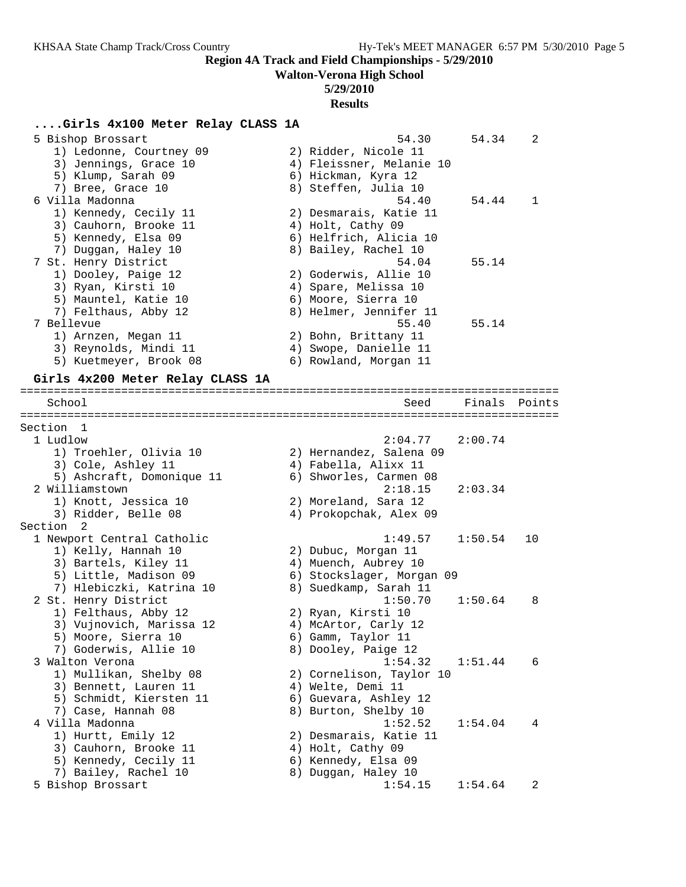**Walton-Verona High School**

## **5/29/2010**

#### **Results**

### **....Girls 4x100 Meter Relay CLASS 1A**

| 5 Bishop Brossart       | 54.30                    | 54.34 | $\mathcal{L}$ |
|-------------------------|--------------------------|-------|---------------|
| 1) Ledonne, Courtney 09 | 2) Ridder, Nicole 11     |       |               |
| 3) Jennings, Grace 10   | 4) Fleissner, Melanie 10 |       |               |
| 5) Klump, Sarah 09      | 6) Hickman, Kyra 12      |       |               |
| 7) Bree, Grace 10       | 8) Steffen, Julia 10     |       |               |
| 6 Villa Madonna         | 54.40                    | 54.44 |               |
| 1) Kennedy, Cecily 11   | 2) Desmarais, Katie 11   |       |               |
| 3) Cauhorn, Brooke 11   | 4) Holt, Cathy 09        |       |               |
| 5) Kennedy, Elsa 09     | 6) Helfrich, Alicia 10   |       |               |
| 7) Duggan, Haley 10     | 8) Bailey, Rachel 10     |       |               |
| 7 St. Henry District    | 54.04                    | 55.14 |               |
| 1) Dooley, Paige 12     | 2) Goderwis, Allie 10    |       |               |
| 3) Ryan, Kirsti 10      | 4) Spare, Melissa 10     |       |               |
| 5) Mauntel, Katie 10    | 6) Moore, Sierra 10      |       |               |
| 7) Felthaus, Abby 12    | 8) Helmer, Jennifer 11   |       |               |
| 7 Bellevue              | 55.40                    | 55.14 |               |
| 1) Arnzen, Megan 11     | 2) Bohn, Brittany 11     |       |               |
| 3) Reynolds, Mindi 11   | 4) Swope, Danielle 11    |       |               |
| 5) Kuetmeyer, Brook 08  | 6) Rowland, Morgan 11    |       |               |
|                         |                          |       |               |

### **Girls 4x200 Meter Relay CLASS 1A**

================================================================================ Seed Finals Points ================================================================================ Section 1 1 Ludlow 2:04.77 2:00.74 1) Troehler, Olivia 10 2) Hernandez, Salena 09 3) Cole, Ashley 11 (4) Fabella, Alixx 11 5) Ashcraft, Domonique 11 6) Shworles, Carmen 08 2 Williamstown 2:18.15 2:03.34 1) Knott, Jessica 10 2) Moreland, Sara 12 3) Ridder, Belle 08 4) Prokopchak, Alex 09 Section 2 1 Newport Central Catholic 1:49.57 1:50.54 10 1) Kelly, Hannah 10 2) Dubuc, Morgan 11 3) Bartels, Kiley 11  $\hskip1cm$  4) Muench, Aubrey 10 5) Little, Madison 09 6) Stockslager, Morgan 09 7) Hlebiczki, Katrina 10 8) Suedkamp, Sarah 11 2 St. Henry District 1:50.70 1:50.64 8 1) Felthaus, Abby 12 2) Ryan, Kirsti 10 3) Vujnovich, Marissa 12 (4) McArtor, Carly 12 5) Moore, Sierra 10 6) Gamm, Taylor 11 7) Goderwis, Allie 10 and 8) Dooley, Paige 12 3 Walton Verona 1:54.32 1:51.44 6 1) Mullikan, Shelby 08 2) Cornelison, Taylor 10 3) Bennett, Lauren 11 (a) 4) Welte, Demi 11 5) Schmidt, Kiersten 11 6) Guevara, Ashley 12 7) Case, Hannah 08 8) Burton, Shelby 10 4 Villa Madonna 1:52.52 1:54.04 4 1) Hurtt, Emily 12 2) Desmarais, Katie 11 3) Cauhorn, Brooke 11 4) Holt, Cathy 09 5) Kennedy, Cecily 11 (6) Kennedy, Elsa 09 7) Bailey, Rachel 10 8) Duggan, Haley 10 5 Bishop Brossart 1:54.15 1:54.64 2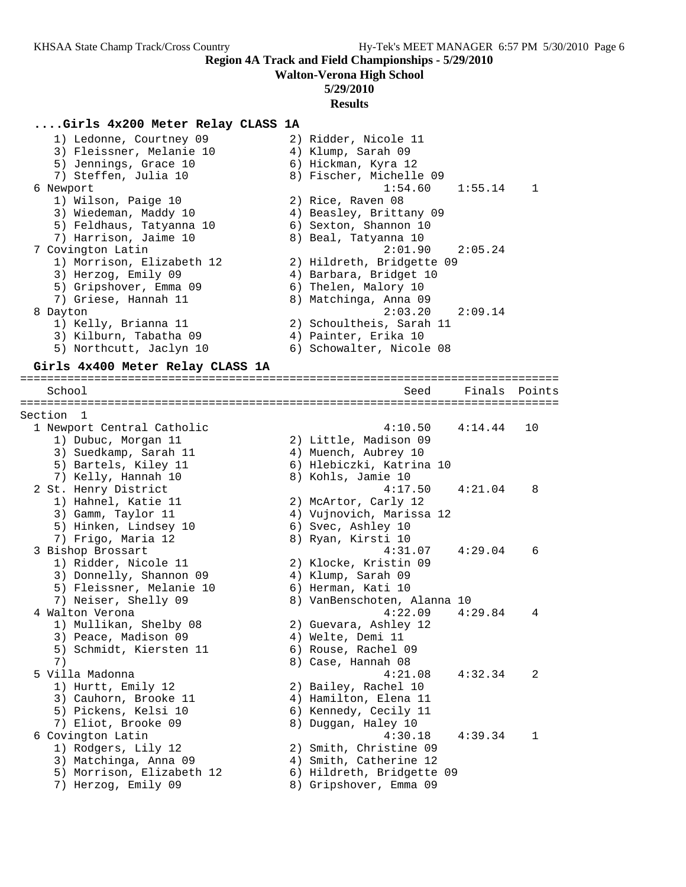**Walton-Verona High School**

### **5/29/2010**

#### **Results**

### **....Girls 4x200 Meter Relay CLASS 1A**

 1) Ledonne, Courtney 09 2) Ridder, Nicole 11 3) Fleissner, Melanie 10  $\hskip1cm 4$ ) Klump, Sarah 09 5) Jennings, Grace 10 (6) Hickman, Kyra 12 7) Steffen, Julia 10 8) Fischer, Michelle 09 6 Newport 1:54.60 1:55.14 1 1) Wilson, Paige 10 2) Rice, Raven 08 3) Wiedeman, Maddy 10 4) Beasley, Brittany 09 5) Feldhaus, Tatyanna 10 6) Sexton, Shannon 10 7) Harrison, Jaime 10  $\hskip1cm 8)$  Beal, Tatyanna 10 7 Covington Latin 2:01.90 2:05.24 1) Morrison, Elizabeth 12 2) Hildreth, Bridgette 09 3) Herzog, Emily 09 (4) Barbara, Bridget 10 5) Gripshover, Emma 09 6) Thelen, Malory 10 7) Griese, Hannah 11 8) Matchinga, Anna 09 8 Dayton 2:03.20 2:09.14 1) Kelly, Brianna 11 2) Schoultheis, Sarah 11 3) Kilburn, Tabatha 09 4) Painter, Erika 10 5) Northcutt, Jaclyn 10 6) Schowalter, Nicole 08 **Girls 4x400 Meter Relay CLASS 1A** ================================================================================ School Seed Finals Points ================================================================================ Section 1 1 Newport Central Catholic 4:10.50 4:14.44 10 1) Dubuc, Morgan 11 2) Little, Madison 09 3) Suedkamp, Sarah 11  $\hskip10mm 4$ ) Muench, Aubrey 10 5) Bartels, Kiley 11 6) Hlebiczki, Katrina 10 7) Kelly, Hannah 10 8) Kohls, Jamie 10 2 St. Henry District 4:17.50 4:21.04 8 1) Hahnel, Katie 11 2) McArtor, Carly 12 3) Gamm, Taylor 11 4) Vujnovich, Marissa 12 5) Hinken, Lindsey 10 (6) Svec, Ashley 10 7) Frigo, Maria 12 8) Ryan, Kirsti 10 3 Bishop Brossart 4:31.07 4:29.04 6 1) Ridder, Nicole 11 2) Klocke, Kristin 09 3) Donnelly, Shannon 09 4) Klump, Sarah 09 5) Fleissner, Melanie 10  $\,$  6) Herman, Kati 10 7) Neiser, Shelly 09 8) VanBenschoten, Alanna 10 4 Walton Verona 4:22.09 4:29.84 4 1) Mullikan, Shelby 08 2) Guevara, Ashley 12 3) Peace, Madison 09 (4) Welte, Demi 11 5) Schmidt, Kiersten 11 (6) Rouse, Rachel 09 7) 8) Case, Hannah 08 5 Villa Madonna 4:21.08 4:32.34 2 1) Hurtt, Emily 12 2) Bailey, Rachel 10 3) Cauhorn, Brooke 11 4) Hamilton, Elena 11 5) Pickens, Kelsi 10 6) Kennedy, Cecily 11 7) Eliot, Brooke 09 8) Duggan, Haley 10 6 Covington Latin 4:30.18 4:39.34 1 1) Rodgers, Lily 12 2) Smith, Christine 09 3) Matchinga, Anna 09 4) Smith, Catherine 12 5) Morrison, Elizabeth 12 6) Hildreth, Bridgette 09 7) Herzog, Emily 09 8) Gripshover, Emma 09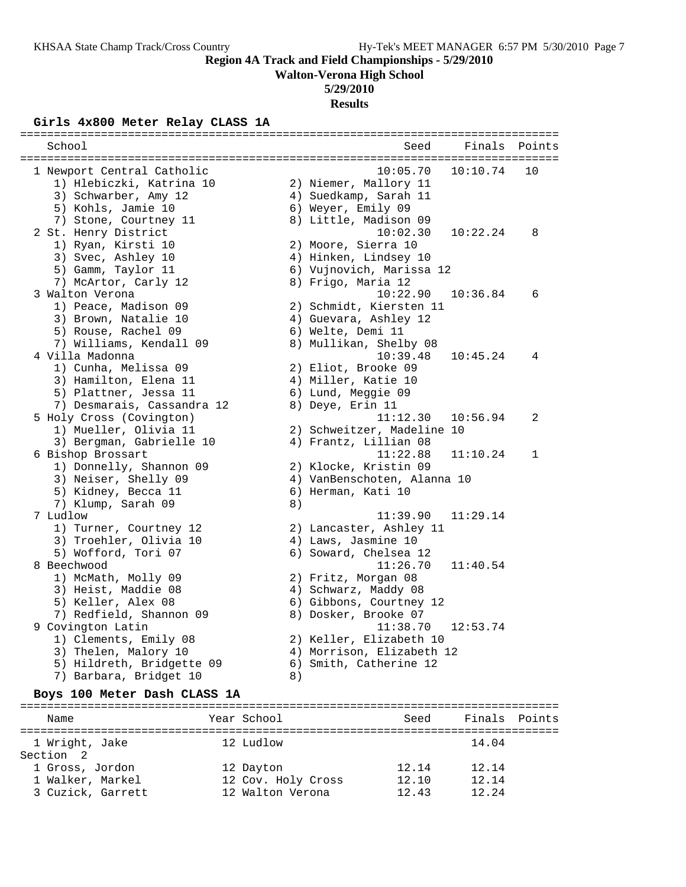**Walton-Verona High School**

## **5/29/2010**

**Results**

# **Girls 4x800 Meter Relay CLASS 1A**

| School                     |    | Seed                        | Finals   | Points       |
|----------------------------|----|-----------------------------|----------|--------------|
|                            |    |                             |          |              |
| 1 Newport Central Catholic |    | 10:05.70                    | 10:10.74 | 10           |
| 1) Hlebiczki, Katrina 10   |    | 2) Niemer, Mallory 11       |          |              |
| 3) Schwarber, Amy 12       |    | 4) Suedkamp, Sarah 11       |          |              |
| 5) Kohls, Jamie 10         |    | 6) Weyer, Emily 09          |          |              |
| 7) Stone, Courtney 11      |    | 8) Little, Madison 09       |          |              |
| 2 St. Henry District       |    | 10:02.30                    | 10:22.24 | 8            |
| 1) Ryan, Kirsti 10         |    | 2) Moore, Sierra 10         |          |              |
| 3) Svec, Ashley 10         |    | 4) Hinken, Lindsey 10       |          |              |
| 5) Gamm, Taylor 11         |    | 6) Vujnovich, Marissa 12    |          |              |
| 7) McArtor, Carly 12       |    | 8) Frigo, Maria 12          |          |              |
| 3 Walton Verona            |    | 10:22.90                    | 10:36.84 | 6            |
| 1) Peace, Madison 09       |    | 2) Schmidt, Kiersten 11     |          |              |
| 3) Brown, Natalie 10       |    | 4) Guevara, Ashley 12       |          |              |
| 5) Rouse, Rachel 09        |    | 6) Welte, Demi 11           |          |              |
| 7) Williams, Kendall 09    |    | 8) Mullikan, Shelby 08      |          |              |
| 4 Villa Madonna            |    | 10:39.48                    | 10:45.24 | 4            |
| 1) Cunha, Melissa 09       |    | 2) Eliot, Brooke 09         |          |              |
| 3) Hamilton, Elena 11      |    | 4) Miller, Katie 10         |          |              |
| 5) Plattner, Jessa 11      |    | 6) Lund, Meggie 09          |          |              |
| 7) Desmarais, Cassandra 12 |    | 8) Deye, Erin 11            |          |              |
| 5 Holy Cross (Covington)   |    | 11:12.30                    | 10:56.94 | 2            |
| 1) Mueller, Olivia 11      |    | 2) Schweitzer, Madeline 10  |          |              |
| 3) Bergman, Gabrielle 10   |    | 4) Frantz, Lillian 08       |          |              |
| 6 Bishop Brossart          |    | 11:22.88                    | 11:10.24 | $\mathbf{1}$ |
| 1) Donnelly, Shannon 09    |    | 2) Klocke, Kristin 09       |          |              |
| 3) Neiser, Shelly 09       |    | 4) VanBenschoten, Alanna 10 |          |              |
| 5) Kidney, Becca 11        |    | 6) Herman, Kati 10          |          |              |
| 7) Klump, Sarah 09         | 8) |                             |          |              |
| 7 Ludlow                   |    | 11:39.90                    | 11:29.14 |              |
| 1) Turner, Courtney 12     |    | 2) Lancaster, Ashley 11     |          |              |
| 3) Troehler, Olivia 10     |    | 4) Laws, Jasmine 10         |          |              |
| 5) Wofford, Tori 07        |    | 6) Soward, Chelsea 12       |          |              |
| 8 Beechwood                |    | 11:26.70                    | 11:40.54 |              |
| 1) McMath, Molly 09        |    | 2) Fritz, Morgan 08         |          |              |
| 3) Heist, Maddie 08        |    | 4) Schwarz, Maddy 08        |          |              |
| 5) Keller, Alex 08         |    | 6) Gibbons, Courtney 12     |          |              |
| 7) Redfield, Shannon 09    |    | 8) Dosker, Brooke 07        |          |              |
| 9 Covington Latin          |    | 11:38.70                    | 12:53.74 |              |
| 1) Clements, Emily 08      |    | 2) Keller, Elizabeth 10     |          |              |
| 3) Thelen, Malory 10       |    | 4) Morrison, Elizabeth 12   |          |              |
| 5) Hildreth, Bridgette 09  |    | 6) Smith, Catherine 12      |          |              |
| 7) Barbara, Bridget 10     | 8) |                             |          |              |

#### **Boys 100 Meter Dash CLASS 1A**

================================================================================ Name The Year School Seed Finals Points ================================================================================ 1 Wright, Jake 12 Ludlow 14.04 Section 2 1 Gross, Jordon 12 Dayton 12.14 12.14 1 Walker, Markel 12 Cov. Holy Cross 12.10 12.14 3 Cuzick, Garrett 12 Walton Verona 12.43 12.24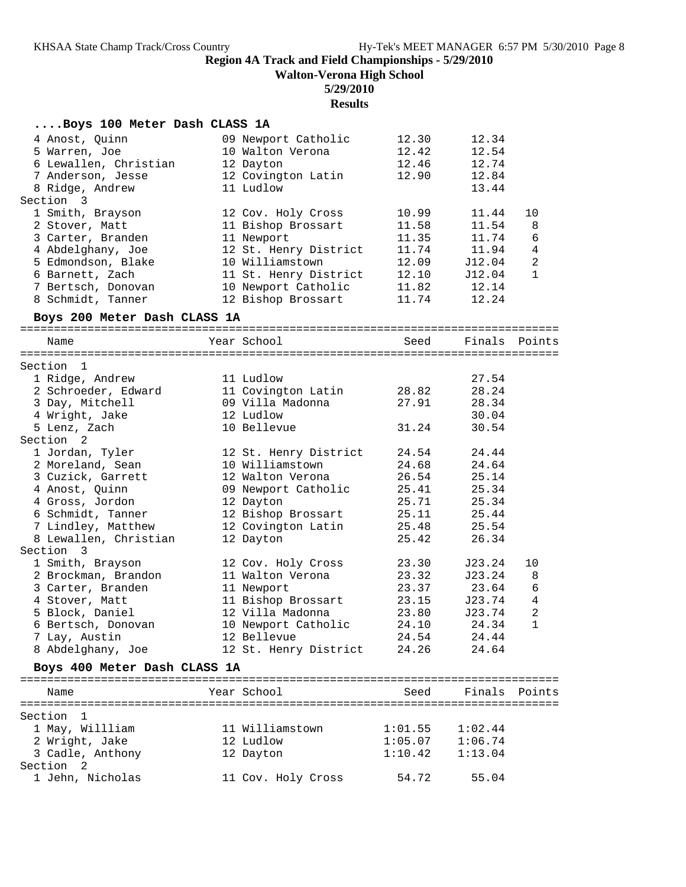**Walton-Verona High School**

## **5/29/2010**

|                              | <b>Results</b>                  |       |               |                |
|------------------------------|---------------------------------|-------|---------------|----------------|
| Boys 100 Meter Dash CLASS 1A |                                 |       |               |                |
| 4 Anost, Quinn               | 09 Newport Catholic             | 12.30 | 12.34         |                |
| 5 Warren, Joe                | 10 Walton Verona                | 12.42 | 12.54         |                |
| 6 Lewallen, Christian        | 12 Dayton                       | 12.46 | 12.74         |                |
| 7 Anderson, Jesse            | 12 Covington Latin              | 12.90 | 12.84         |                |
| 8 Ridge, Andrew              | 11 Ludlow                       |       | 13.44         |                |
| Section 3                    |                                 |       |               |                |
| 1 Smith, Brayson             | 12 Cov. Holy Cross              | 10.99 | 11.44         | 10             |
| 2 Stover, Matt               | 11 Bishop Brossart              | 11.58 | 11.54         | 8              |
| 3 Carter, Branden            | 11 Newport                      | 11.35 | 11.74         | 6              |
| 4 Abdelghany, Joe            | 12 St. Henry District           |       | 11.74 11.94   | $\overline{4}$ |
| 5 Edmondson, Blake           | 10 Williamstown                 | 12.09 | J12.04        | $\overline{2}$ |
| 6 Barnett, Zach              | 11 St. Henry District           | 12.10 | J12.04        | $\mathbf{1}$   |
| 7 Bertsch, Donovan           | 10 Newport Catholic 11.82 12.14 |       |               |                |
| 8 Schmidt, Tanner            | 12 Bishop Brossart              | 11.74 | 12.24         |                |
| Boys 200 Meter Dash CLASS 1A |                                 |       |               |                |
| Name                         | Year School                     | Seed  | Finals Points |                |
|                              |                                 |       |               |                |
| Section <sub>1</sub>         |                                 |       |               |                |
| 1 Ridge, Andrew              | 11 Ludlow                       |       | 27.54         |                |
| 2 Schroeder, Edward          | 11 Covington Latin              | 28.82 | 28.24         |                |
| 3 Day, Mitchell              | 09 Villa Madonna                | 27.91 | 28.34         |                |
| 4 Wright, Jake               | 12 Ludlow                       |       | 30.04         |                |
| 5 Lenz, Zach                 | 10 Bellevue                     | 31.24 | 30.54         |                |
| Section <sub>2</sub>         |                                 |       |               |                |
| 1 Jordan, Tyler              | 12 St. Henry District           | 24.54 | 24.44         |                |
| 2 Moreland, Sean             | 10 Williamstown                 | 24.68 | 24.64         |                |
| 3 Curick Carrott             | 12 Walton Verona                | 26.54 | 25, 14        |                |

| -------               |                       |       |        |                |
|-----------------------|-----------------------|-------|--------|----------------|
| 1 Jordan, Tyler       | 12 St. Henry District | 24.54 | 24.44  |                |
| 2 Moreland, Sean      | 10 Williamstown       | 24.68 | 24.64  |                |
| 3 Cuzick, Garrett     | 12 Walton Verona      | 26.54 | 25.14  |                |
| 4 Anost, Quinn        | 09 Newport Catholic   | 25.41 | 25.34  |                |
| 4 Gross, Jordon       | 12 Dayton             | 25.71 | 25.34  |                |
| 6 Schmidt, Tanner     | 12 Bishop Brossart    | 25.11 | 25.44  |                |
| 7 Lindley, Matthew    | 12 Covington Latin    | 25.48 | 25.54  |                |
| 8 Lewallen, Christian | 12 Dayton             | 25.42 | 26.34  |                |
| Section 3             |                       |       |        |                |
| 1 Smith, Brayson      | 12 Cov. Holy Cross    | 23.30 | J23.24 | 10             |
| 2 Brockman, Brandon   | 11 Walton Verona      | 23.32 | J23.24 | 8 <sup>8</sup> |
| 3 Carter, Branden     | 11 Newport            | 23.37 | 23.64  | 6              |
| 4 Stover, Matt        | 11 Bishop Brossart    | 23.15 | J23.74 | $\overline{4}$ |
| 5 Block, Daniel       | 12 Villa Madonna      | 23.80 | J23.74 | $\overline{2}$ |
| 6 Bertsch, Donovan    | 10 Newport Catholic   | 24.10 | 24.34  | $\mathbf 1$    |
| 7 Lay, Austin         | 12 Bellevue           | 24.54 | 24.44  |                |
| 8 Abdelghany, Joe     | 12 St. Henry District | 24.26 | 24.64  |                |
|                       |                       |       |        |                |

## **Boys 400 Meter Dash CLASS 1A**

| Name                 | Year School        | Seed    | Finals Points |  |
|----------------------|--------------------|---------|---------------|--|
| Section              |                    |         |               |  |
| 1 May, Willliam      | 11 Williamstown    | 1:01.55 | 1:02.44       |  |
| 2 Wright, Jake       | 12 Ludlow          | 1:05.07 | 1:06.74       |  |
| 3 Cadle, Anthony     | 12 Dayton          | 1:10.42 | 1:13.04       |  |
| Section <sub>2</sub> |                    |         |               |  |
| 1 Jehn, Nicholas     | 11 Cov. Holy Cross | 54.72   | 55.04         |  |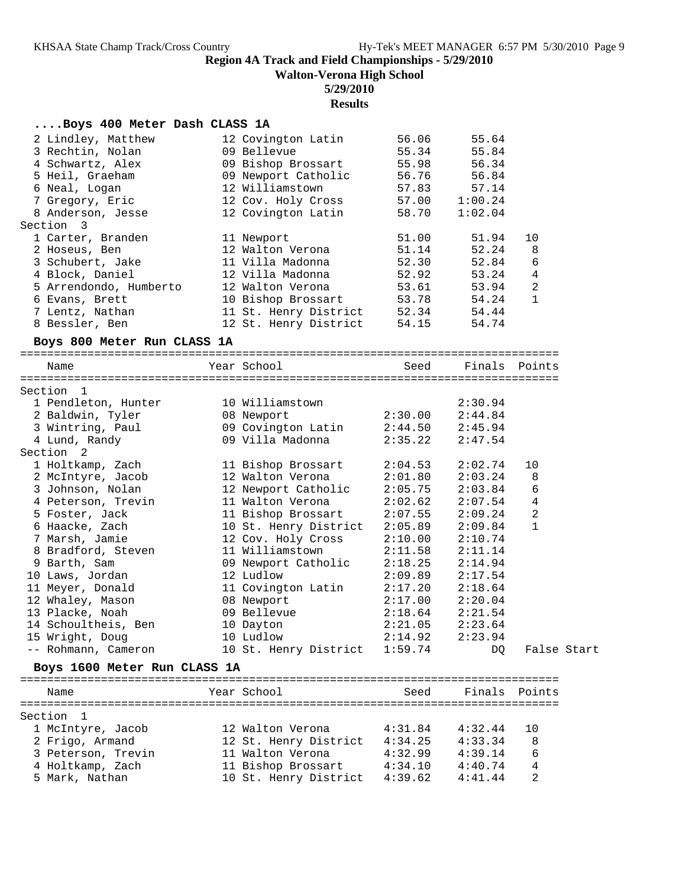**Walton-Verona High School**

## **5/29/2010**

## **Results**

## **....Boys 400 Meter Dash CLASS 1A**

| 11 Villa Madonna<br>52.30<br>3 Schubert, Jake<br>4 Block, Daniel<br>12 Villa Madonna<br>52.92                                                                                                                                                                                                                                                                                                                                                                                                                                                                                                                                                                   | 52.84<br>6<br>53.24<br>4                                                                                                                              | 10<br>8     |
|-----------------------------------------------------------------------------------------------------------------------------------------------------------------------------------------------------------------------------------------------------------------------------------------------------------------------------------------------------------------------------------------------------------------------------------------------------------------------------------------------------------------------------------------------------------------------------------------------------------------------------------------------------------------|-------------------------------------------------------------------------------------------------------------------------------------------------------|-------------|
| 5 Arrendondo, Humberto<br>12 Walton Verona<br>53.61<br>6 Evans, Brett<br>53.78<br>10 Bishop Brossart<br>7 Lentz, Nathan<br>11 St. Henry District<br>52.34<br>8 Bessler, Ben<br>12 St. Henry District<br>54.15                                                                                                                                                                                                                                                                                                                                                                                                                                                   | 2<br>53.94<br>54.24<br>1<br>54.44<br>54.74                                                                                                            |             |
| Boys 800 Meter Run CLASS 1A                                                                                                                                                                                                                                                                                                                                                                                                                                                                                                                                                                                                                                     |                                                                                                                                                       |             |
| Year School<br>Name<br>Seed                                                                                                                                                                                                                                                                                                                                                                                                                                                                                                                                                                                                                                     | Finals Points                                                                                                                                         |             |
| Section 1<br>1 Pendleton, Hunter<br>10 Williamstown<br>2 Baldwin, Tyler<br>2:30.00<br>08 Newport<br>09 Covington Latin<br>3 Wintring, Paul<br>2:44.50<br>4 Lund, Randy<br>09 Villa Madonna<br>2:35.22<br>Section 2<br>2:04.53<br>1 Holtkamp, Zach<br>11 Bishop Brossart<br>12 Walton Verona<br>2:01.80<br>2 McIntyre, Jacob<br>3 Johnson, Nolan<br>12 Newport Catholic<br>2:05.75                                                                                                                                                                                                                                                                               | 2:30.94<br>2:44.84<br>2:45.94<br>2:47.54<br>2:02.74<br>10<br>2:03.24<br>8<br>6<br>2:03.84                                                             |             |
| 4 Peterson, Trevin<br>11 Walton Verona<br>2:02.62<br>5 Foster, Jack<br>2:07.55<br>11 Bishop Brossart<br>6 Haacke, Zach<br>10 St. Henry District<br>2:05.89<br>7 Marsh, Jamie<br>12 Cov. Holy Cross<br>2:10.00<br>8 Bradford, Steven<br>11 Williamstown<br>2:11.58<br>9 Barth, Sam<br>09 Newport Catholic<br>2:18.25<br>10 Laws, Jordan<br>12 Ludlow<br>2:09.89<br>11 Meyer, Donald<br>11 Covington Latin<br>2:17.20<br>12 Whaley, Mason<br>08 Newport<br>2:17.00<br>13 Placke, Noah<br>09 Bellevue<br>2:18.64<br>14 Schoultheis, Ben<br>10 Dayton<br>2:21.05<br>10 Ludlow<br>2:14.92<br>15 Wright, Doug<br>10 St. Henry District 1:59.74<br>-- Rohmann, Cameron | 2:07.54<br>4<br>2:09.24<br>2<br>1<br>2:09.84<br>2:10.74<br>2:11.14<br>2:14.94<br>2:17.54<br>2:18.64<br>2:20.04<br>2:21.54<br>2:23.64<br>2:23.94<br>DQ | False Start |
| Boys 1600 Meter Run CLASS 1A                                                                                                                                                                                                                                                                                                                                                                                                                                                                                                                                                                                                                                    |                                                                                                                                                       |             |
|                                                                                                                                                                                                                                                                                                                                                                                                                                                                                                                                                                                                                                                                 |                                                                                                                                                       |             |
| Year School<br>Seed<br>Name                                                                                                                                                                                                                                                                                                                                                                                                                                                                                                                                                                                                                                     | Finals Points                                                                                                                                         |             |
| Section 1<br>12 Walton Verona<br>4:31.84<br>1 McIntyre, Jacob<br>12 St. Henry District<br>2 Frigo, Armand<br>4:34.25<br>3 Peterson, Trevin<br>11 Walton Verona<br>4:32.99<br>4 Holtkamp, Zach<br>11 Bishop Brossart<br>4:34.10<br>5 Mark, Nathan<br>10 St. Henry District<br>4:39.62                                                                                                                                                                                                                                                                                                                                                                            | 4:32.44<br>10<br>4:33.34<br>8<br>4:39.14<br>6<br>4<br>4:40.74<br>2<br>4:41.44                                                                         |             |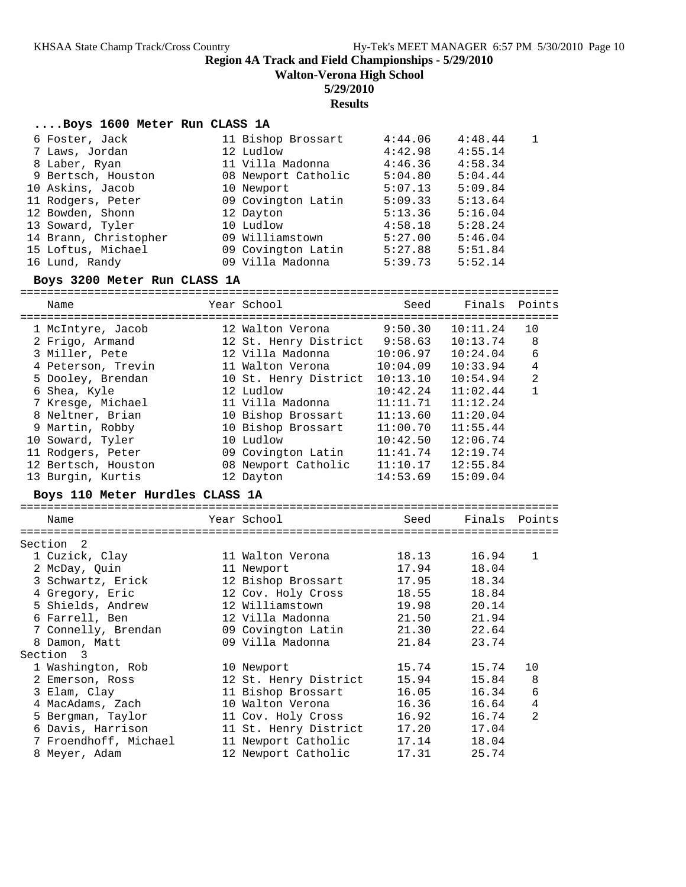**Walton-Verona High School**

### **5/29/2010**

## **Results**

### **....Boys 1600 Meter Run CLASS 1A**

| 6 Foster, Jack        | 11 Bishop Brossart  | 4:44.06 | 4:48.44 |  |
|-----------------------|---------------------|---------|---------|--|
| 7 Laws, Jordan        | 12 Ludlow           | 4:42.98 | 4:55.14 |  |
| 8 Laber, Ryan         | 11 Villa Madonna    | 4:46.36 | 4:58.34 |  |
| 9 Bertsch, Houston    | 08 Newport Catholic | 5:04.80 | 5:04.44 |  |
| 10 Askins, Jacob      | 10 Newport          | 5:07.13 | 5:09.84 |  |
| 11 Rodgers, Peter     | 09 Covington Latin  | 5:09.33 | 5:13.64 |  |
| 12 Bowden, Shonn      | 12 Dayton           | 5:13.36 | 5:16.04 |  |
| 13 Soward, Tyler      | 10 Ludlow           | 4:58.18 | 5:28.24 |  |
| 14 Brann, Christopher | 09 Williamstown     | 5:27.00 | 5:46.04 |  |
| 15 Loftus, Michael    | 09 Covington Latin  | 5:27.88 | 5:51.84 |  |
| 16 Lund, Randy        | 09 Villa Madonna    | 5:39.73 | 5:52.14 |  |

### **Boys 3200 Meter Run CLASS 1A**

================================================================================ Name Year School Seed Finals Points ================================================================================ 1 McIntyre, Jacob 12 Walton Verona 9:50.30 10:11.24 10 2 Frigo, Armand 12 St. Henry District 9:58.63 10:13.74 8 3 Miller, Pete 12 Villa Madonna 10:06.97 10:24.04 6 4 Peterson, Trevin 11 Walton Verona 10:04.09 10:33.94 4 5 Dooley, Brendan 10 St. Henry District 10:13.10 10:54.94 2 6 Shea, Kyle 12 Ludlow 10:42.24 11:02.44 1 7 Kresge, Michael 11 Villa Madonna 11:11.71 11:12.24 8 Neltner, Brian 10 Bishop Brossart 11:13.60 11:20.04 9 Martin, Robby 10 Bishop Brossart 11:00.70 11:55.44 10 Soward, Tyler 10 Ludlow 10:42.50 12:06.74 11 Rodgers, Peter 09 Covington Latin 11:41.74 12:19.74 12 Bertsch, Houston 08 Newport Catholic 11:10.17 12:55.84 13 Burgin, Kurtis 12 Dayton 14:53.69 15:09.04 **Boys 110 Meter Hurdles CLASS 1A** ================================================================================ Name The Year School Seed Finals Points ================================================================================ Section 2 1 Cuzick, Clay 11 Walton Verona 18.13 16.94 1 2 McDay, Quin 11 Newport 17.94 18.04 3 Schwartz, Erick 12 Bishop Brossart 17.95 18.34 4 Gregory, Eric 12 Cov. Holy Cross 18.55 18.84 5 Shields, Andrew 12 Williamstown 19.98 20.14 6 Farrell, Ben 12 Villa Madonna 21.50 21.94 7 Connelly, Brendan 09 Covington Latin 21.30 22.64 8 Damon, Matt 09 Villa Madonna 21.84 23.74 Section 3 1 Washington, Rob 10 Newport 15.74 15.74 10 2 Emerson, Ross 12 St. Henry District 15.94 15.84 8 3 Elam, Clay 11 Bishop Brossart 16.05 16.34 6 4 MacAdams, Zach 10 Walton Verona 16.36 16.64 4 5 Bergman, Taylor 11 Cov. Holy Cross 16.92 16.74 2 6 Davis, Harrison 11 St. Henry District 17.20 17.04 7 Froendhoff, Michael 11 Newport Catholic 17.14 18.04 8 Meyer, Adam 12 Newport Catholic 17.31 25.74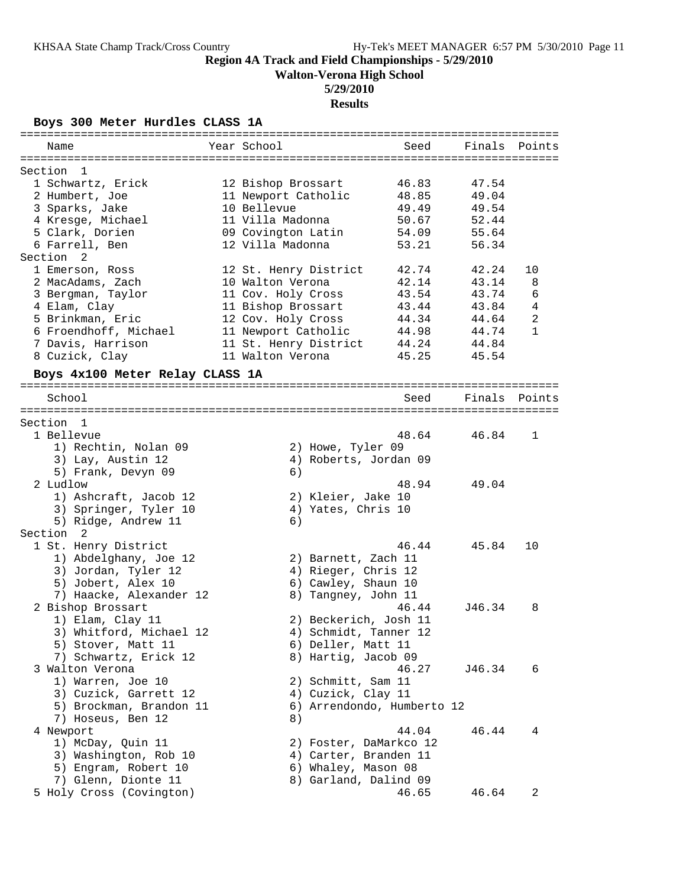**Walton-Verona High School**

## **5/29/2010**

**Results**

**Boys 300 Meter Hurdles CLASS 1A**

| Name                            | Year School           |                       | Seed                       | Finals | Points         |
|---------------------------------|-----------------------|-----------------------|----------------------------|--------|----------------|
| Section<br>- 1                  |                       |                       |                            |        |                |
| 1 Schwartz, Erick               | 12 Bishop Brossart    |                       | 46.83                      | 47.54  |                |
| 2 Humbert, Joe                  | 11 Newport Catholic   |                       | 48.85                      | 49.04  |                |
| 3 Sparks, Jake                  | 10 Bellevue           |                       | 49.49                      | 49.54  |                |
| 4 Kresge, Michael               | 11 Villa Madonna      |                       | 50.67                      | 52.44  |                |
| 5 Clark, Dorien                 | 09 Covington Latin    |                       | 54.09                      | 55.64  |                |
| 6 Farrell, Ben                  | 12 Villa Madonna      |                       | 53.21                      | 56.34  |                |
| Section <sub>2</sub>            |                       |                       |                            |        |                |
| 1 Emerson, Ross                 | 12 St. Henry District |                       | 42.74                      | 42.24  | 10             |
| 2 MacAdams, Zach                | 10 Walton Verona      |                       | 42.14                      | 43.14  | 8              |
| 3 Bergman, Taylor               | 11 Cov. Holy Cross    |                       | 43.54                      | 43.74  | 6              |
| 4 Elam, Clay                    | 11 Bishop Brossart    |                       | 43.44                      | 43.84  | 4              |
| 5 Brinkman, Eric                | 12 Cov. Holy Cross    |                       | 44.34                      | 44.64  | $\overline{2}$ |
| 6 Froendhoff, Michael           | 11 Newport Catholic   |                       | 44.98                      | 44.74  | $\mathbf{1}$   |
| 7 Davis, Harrison               | 11 St. Henry District |                       | 44.24                      | 44.84  |                |
| 8 Cuzick, Clay                  | 11 Walton Verona      |                       | 45.25                      | 45.54  |                |
| Boys 4x100 Meter Relay CLASS 1A |                       |                       |                            |        |                |
| School                          |                       |                       | Seed                       | Finals | Points         |
|                                 |                       |                       |                            |        |                |
| Section 1                       |                       |                       |                            |        |                |
| 1 Bellevue                      |                       |                       | 48.64                      | 46.84  | 1              |
| 1) Rechtin, Nolan 09            |                       | 2) Howe, Tyler 09     |                            |        |                |
| 3) Lay, Austin 12               |                       | 4) Roberts, Jordan 09 |                            |        |                |
| 5) Frank, Devyn 09              | 6)                    |                       |                            |        |                |
| 2 Ludlow                        |                       |                       | 48.94                      | 49.04  |                |
| 1) Ashcraft, Jacob 12           |                       | 2) Kleier, Jake 10    |                            |        |                |
| 3) Springer, Tyler 10           |                       | 4) Yates, Chris 10    |                            |        |                |
| 5) Ridge, Andrew 11             | 6)                    |                       |                            |        |                |
| Section 2                       |                       |                       |                            |        |                |
| 1 St. Henry District            |                       |                       | 46.44                      | 45.84  | 10             |
| 1) Abdelghany, Joe 12           |                       | 2) Barnett, Zach 11   |                            |        |                |
| 3) Jordan, Tyler 12             |                       | 4) Rieger, Chris 12   |                            |        |                |
| 5) Jobert, Alex 10              |                       | 6) Cawley, Shaun 10   |                            |        |                |
| 7) Haacke, Alexander 12         |                       | 8) Tangney, John 11   |                            |        |                |
| 2 Bishop Brossart               |                       |                       | 46.44                      | J46.34 | 8              |
| 1) Elam, Clay 11                |                       | 2) Beckerich, Josh 11 |                            |        |                |
| 3) Whitford, Michael 12         |                       | 4) Schmidt, Tanner 12 |                            |        |                |
| 5) Stover, Matt 11              |                       | 6) Deller, Matt 11    |                            |        |                |
| 7) Schwartz, Erick 12           |                       | 8) Hartig, Jacob 09   |                            |        |                |
| 3 Walton Verona                 |                       |                       | 46.27                      | J46.34 | 6              |
| 1) Warren, Joe 10               |                       | 2) Schmitt, Sam 11    |                            |        |                |
| 3) Cuzick, Garrett 12           |                       | 4) Cuzick, Clay 11    |                            |        |                |
| 5) Brockman, Brandon 11         |                       |                       | 6) Arrendondo, Humberto 12 |        |                |
| 7) Hoseus, Ben 12               | 8)                    |                       |                            |        |                |
| 4 Newport                       |                       |                       | 44.04                      | 46.44  | 4              |
| 1) McDay, Quin 11               |                       |                       | 2) Foster, DaMarkco 12     |        |                |
| 3) Washington, Rob 10           |                       | 4) Carter, Branden 11 |                            |        |                |
| 5) Engram, Robert 10            |                       | 6) Whaley, Mason 08   |                            |        |                |
| 7) Glenn, Dionte 11             |                       | 8) Garland, Dalind 09 |                            |        |                |
| 5 Holy Cross (Covington)        |                       |                       | 46.65                      | 46.64  | 2              |
|                                 |                       |                       |                            |        |                |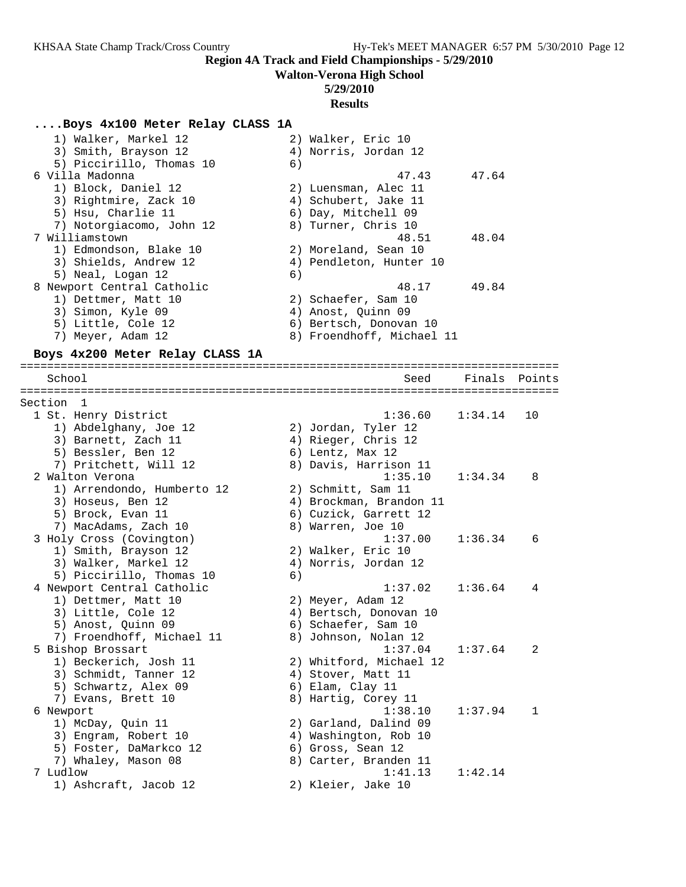# **Walton-Verona High School**

## **5/29/2010**

## **Results**

## **....Boys 4x100 Meter Relay CLASS 1A**

| 1) Walker, Markel 12       | 2) Walker, Eric 10        |
|----------------------------|---------------------------|
| 3) Smith, Brayson 12       | 4) Norris, Jordan 12      |
| 5) Piccirillo, Thomas 10   | 6)                        |
| 6 Villa Madonna            | 47.43<br>47.64            |
| 1) Block, Daniel 12        | 2) Luensman, Alec 11      |
| 3) Rightmire, Zack 10      | 4) Schubert, Jake 11      |
| 5) Hsu, Charlie 11         | 6) Day, Mitchell 09       |
| 7) Notorgiacomo, John 12   | 8) Turner, Chris 10       |
| 7 Williamstown             | 48.51<br>48.04            |
| 1) Edmondson, Blake 10     | 2) Moreland, Sean 10      |
| 3) Shields, Andrew 12      | 4) Pendleton, Hunter 10   |
| 5) Neal, Logan 12          | 6)                        |
| 8 Newport Central Catholic | 48.17<br>49.84            |
| 1) Dettmer, Matt 10        | 2) Schaefer, Sam 10       |
| 3) Simon, Kyle 09          | 4) Anost, Ouinn 09        |
| 5) Little, Cole 12         | 6) Bertsch, Donovan 10    |
| 7) Meyer, Adam 12          | 8) Froendhoff, Michael 11 |

## **Boys 4x200 Meter Relay CLASS 1A**

|  | School                     |    | Seed                    | Finals  | Points       |
|--|----------------------------|----|-------------------------|---------|--------------|
|  |                            |    |                         |         |              |
|  | Section 1                  |    |                         |         |              |
|  | 1 St. Henry District       |    | 1:36.60                 | 1:34.14 | 10           |
|  | 1) Abdelghany, Joe 12      |    | 2) Jordan, Tyler 12     |         |              |
|  | 3) Barnett, Zach 11        |    | 4) Rieger, Chris 12     |         |              |
|  | 5) Bessler, Ben 12         |    | 6) Lentz, Max 12        |         |              |
|  | 7) Pritchett, Will 12      |    | 8) Davis, Harrison 11   |         |              |
|  | 2 Walton Verona            |    | 1:35.10                 | 1:34.34 | 8            |
|  | 1) Arrendondo, Humberto 12 |    | 2) Schmitt, Sam 11      |         |              |
|  | 3) Hoseus, Ben 12          |    | 4) Brockman, Brandon 11 |         |              |
|  | 5) Brock, Evan 11          |    | 6) Cuzick, Garrett 12   |         |              |
|  | 7) MacAdams, Zach 10       |    | 8) Warren, Joe 10       |         |              |
|  | 3 Holy Cross (Covington)   |    | 1:37.00                 | 1:36.34 | 6            |
|  | 1) Smith, Brayson 12       |    | 2) Walker, Eric 10      |         |              |
|  | 3) Walker, Markel 12       |    | 4) Norris, Jordan 12    |         |              |
|  | 5) Piccirillo, Thomas 10   | 6) |                         |         |              |
|  | 4 Newport Central Catholic |    | 1:37.02                 | 1:36.64 | 4            |
|  | 1) Dettmer, Matt 10        |    | 2) Meyer, Adam 12       |         |              |
|  | 3) Little, Cole 12         |    | 4) Bertsch, Donovan 10  |         |              |
|  | 5) Anost, Quinn 09         |    | 6) Schaefer, Sam 10     |         |              |
|  | 7) Froendhoff, Michael 11  |    | 8) Johnson, Nolan 12    |         |              |
|  | 5 Bishop Brossart          |    | 1:37.04                 | 1:37.64 | 2            |
|  | 1) Beckerich, Josh 11      |    | 2) Whitford, Michael 12 |         |              |
|  | 3) Schmidt, Tanner 12      |    | 4) Stover, Matt 11      |         |              |
|  | 5) Schwartz, Alex 09       |    | 6) Elam, Clay 11        |         |              |
|  | 7) Evans, Brett 10         |    | 8) Hartig, Corey 11     |         |              |
|  | 6 Newport                  |    | 1:38.10                 | 1:37.94 | $\mathbf{1}$ |
|  | 1) McDay, Quin 11          |    | 2) Garland, Dalind 09   |         |              |
|  | 3) Engram, Robert 10       |    | 4) Washington, Rob 10   |         |              |
|  | 5) Foster, DaMarkco 12     |    | 6) Gross, Sean 12       |         |              |
|  | 7) Whaley, Mason 08        |    | 8) Carter, Branden 11   |         |              |
|  | 7 Ludlow                   |    | 1:41.13                 | 1:42.14 |              |
|  | 1) Ashcraft, Jacob 12      |    | 2) Kleier, Jake 10      |         |              |
|  |                            |    |                         |         |              |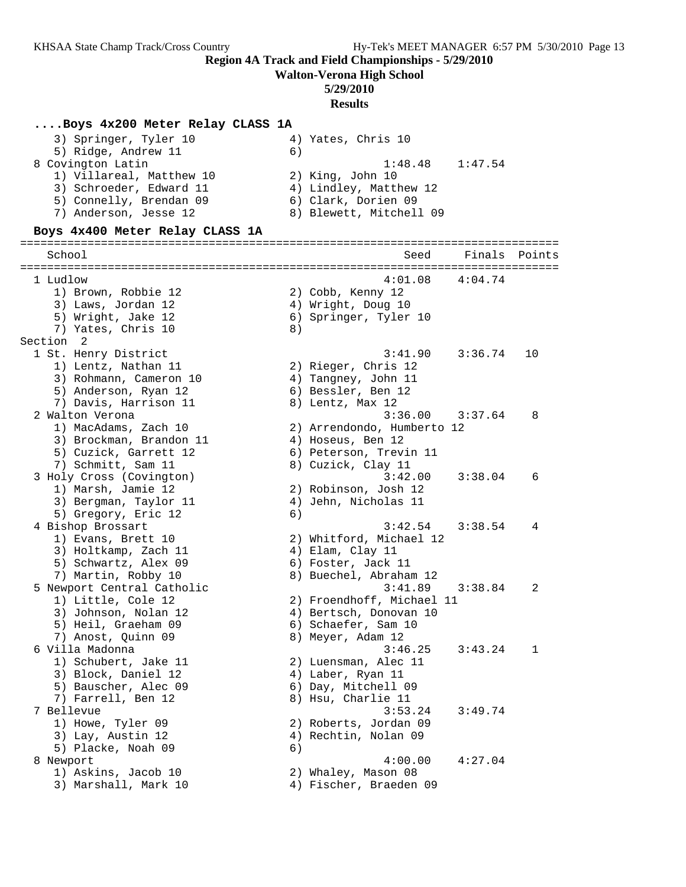**Walton-Verona High School**

## **5/29/2010**

#### **Results**

#### **....Boys 4x200 Meter Relay CLASS 1A**

| 3) Springer, Tyler 10    | 4) Yates, Chris 10      |
|--------------------------|-------------------------|
| 5) Ridge, Andrew 11      | 6)                      |
| 8 Covington Latin        | $1:48.48$ $1:47.54$     |
| 1) Villareal, Matthew 10 | 2) King, John 10        |
| 3) Schroeder, Edward 11  | 4) Lindley, Matthew 12  |
| 5) Connelly, Brendan 09  | 6) Clark, Dorien 09     |
| 7) Anderson, Jesse 12    | 8) Blewett, Mitchell 09 |
|                          |                         |

#### **Boys 4x400 Meter Relay CLASS 1A**

================================================================================ School School School Seed Finals Points ================================================================================ 1 Ludlow 4:01.08 4:04.74 1) Brown, Robbie 12 2) Cobb, Kenny 12 3) Laws, Jordan 12 (4) Wright, Doug 10 5) Wright, Jake 12 6) Springer, Tyler 10 7) Yates, Chris 10 (8) Section 2 1 St. Henry District 3:41.90 3:36.74 10 1) Lentz, Nathan 11 2) Rieger, Chris 12 3) Rohmann, Cameron 10 4) Tangney, John 11 5) Anderson, Ryan 12 (6) Bessler, Ben 12 7) Davis, Harrison 11 and 8) Lentz, Max 12 2 Walton Verona 3:36.00 3:37.64 8 1) MacAdams, Zach 10 2) Arrendondo, Humberto 12 3) Brockman, Brandon 11 (a) 4) Hoseus, Ben 12 5) Cuzick, Garrett 12 6) Peterson, Trevin 11 7) Schmitt, Sam 11 8) Cuzick, Clay 11 3 Holy Cross (Covington) 3:42.00 3:38.04 6 1) Marsh, Jamie 12 2) Robinson, Josh 12 3) Bergman, Taylor 11 (4) Jehn, Nicholas 11 5) Gregory, Eric 12 (6) 4 Bishop Brossart 3:42.54 3:38.54 4 1) Evans, Brett 10 2) Whitford, Michael 12 3) Holtkamp, Zach 11 (4) Elam, Clay 11 5) Schwartz, Alex 09 (6) Foster, Jack 11 7) Martin, Robby 10 8) Buechel, Abraham 12 5 Newport Central Catholic 3:41.89 3:38.84 2 1) Little, Cole 12 2) Froendhoff, Michael 11 3) Johnson, Nolan 12 4) Bertsch, Donovan 10 5) Heil, Graeham 09 6) Schaefer, Sam 10 7) Anost, Quinn 09 8) Meyer, Adam 12 6 Villa Madonna 3:46.25 3:43.24 1 1) Schubert, Jake 11 2) Luensman, Alec 11 3) Block, Daniel 12 (4) Laber, Ryan 11 5) Bauscher, Alec 09 6) Day, Mitchell 09 7) Farrell, Ben 12 8) Hsu, Charlie 11 7 Bellevue 3:53.24 3:49.74 1) Howe, Tyler 09 2) Roberts, Jordan 09 3) Lay, Austin 12 (4) Rechtin, Nolan 09 5) Placke, Noah 09 (6) 8 Newport 1:00.00 4:27.04 1) Askins, Jacob 10 2) Whaley, Mason 08 3) Marshall, Mark 10 4) Fischer, Braeden 09